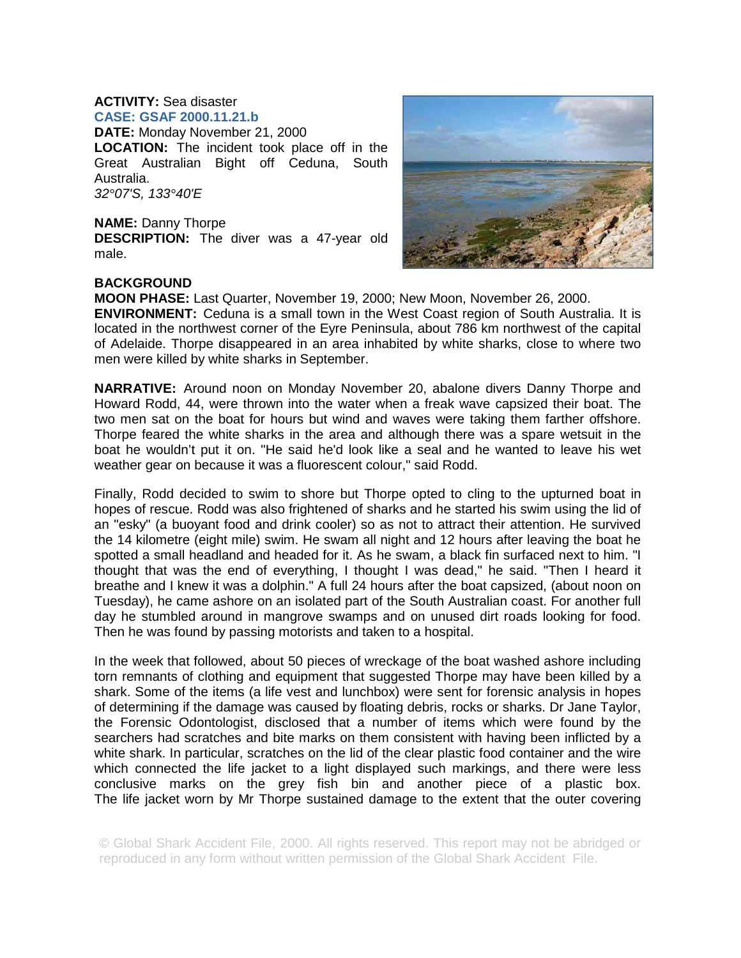## **ACTIVITY:** Sea disaster **CASE: GSAF 2000.11.21.b**

**DATE:** Monday November 21, 2000 **LOCATION:** The incident took place off in the Great Australian Bight off Ceduna, South Australia. *32°07'S, 133°40'E*

**NAME:** Danny Thorpe **DESCRIPTION:** The diver was a 47-year old male.



## **BACKGROUND**

**MOON PHASE:** Last Quarter, November 19, 2000; New Moon, November 26, 2000. **ENVIRONMENT:** Ceduna is a small town in the West Coast region of South Australia. It is located in the northwest corner of the Eyre Peninsula, about 786 km northwest of the capital of Adelaide. Thorpe disappeared in an area inhabited by white sharks, close to where two men were killed by white sharks in September.

**NARRATIVE:** Around noon on Monday November 20, abalone divers Danny Thorpe and Howard Rodd, 44, were thrown into the water when a freak wave capsized their boat. The two men sat on the boat for hours but wind and waves were taking them farther offshore. Thorpe feared the white sharks in the area and although there was a spare wetsuit in the boat he wouldn't put it on. "He said he'd look like a seal and he wanted to leave his wet weather gear on because it was a fluorescent colour," said Rodd.

Finally, Rodd decided to swim to shore but Thorpe opted to cling to the upturned boat in hopes of rescue. Rodd was also frightened of sharks and he started his swim using the lid of an "esky" (a buoyant food and drink cooler) so as not to attract their attention. He survived the 14 kilometre (eight mile) swim. He swam all night and 12 hours after leaving the boat he spotted a small headland and headed for it. As he swam, a black fin surfaced next to him. "I thought that was the end of everything, I thought I was dead," he said. "Then I heard it breathe and I knew it was a dolphin." A full 24 hours after the boat capsized, (about noon on Tuesday), he came ashore on an isolated part of the South Australian coast. For another full day he stumbled around in mangrove swamps and on unused dirt roads looking for food. Then he was found by passing motorists and taken to a hospital.

In the week that followed, about 50 pieces of wreckage of the boat washed ashore including torn remnants of clothing and equipment that suggested Thorpe may have been killed by a shark. Some of the items (a life vest and lunchbox) were sent for forensic analysis in hopes of determining if the damage was caused by floating debris, rocks or sharks. Dr Jane Taylor, the Forensic Odontologist, disclosed that a number of items which were found by the searchers had scratches and bite marks on them consistent with having been inflicted by a white shark. In particular, scratches on the lid of the clear plastic food container and the wire which connected the life jacket to a light displayed such markings, and there were less conclusive marks on the grey fish bin and another piece of a plastic box. The life jacket worn by Mr Thorpe sustained damage to the extent that the outer covering

© Global Shark Accident File, 2000. All rights reserved. This report may not be abridged or reproduced in any form without written permission of the Global Shark Accident File.